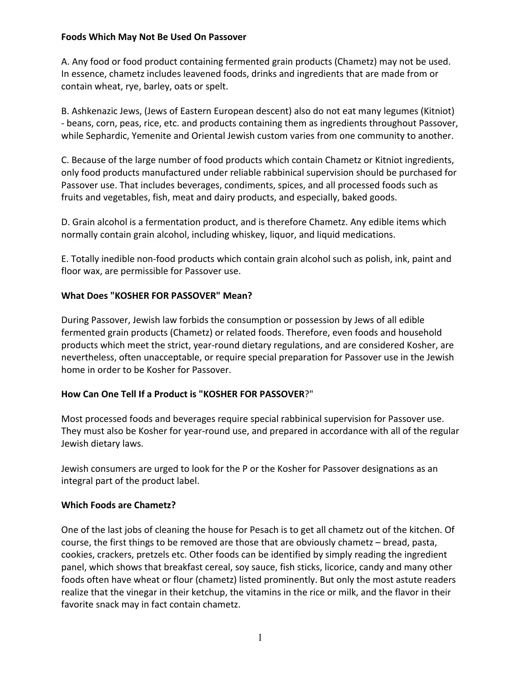### **Foods Which May Not Be Used On Passover**

A. Any food or food product containing fermented grain products (Chametz) may not be used. In essence, chametz includes leavened foods, drinks and ingredients that are made from or contain wheat, rye, barley, oats or spelt.

B. Ashkenazic Jews, (Jews of Eastern European descent) also do not eat many legumes (Kitniot) - beans, corn, peas, rice, etc. and products containing them as ingredients throughout Passover, while Sephardic, Yemenite and Oriental Jewish custom varies from one community to another.

C. Because of the large number of food products which contain Chametz or Kitniot ingredients, only food products manufactured under reliable rabbinical supervision should be purchased for Passover use. That includes beverages, condiments, spices, and all processed foods such as fruits and vegetables, fish, meat and dairy products, and especially, baked goods.

D. Grain alcohol is a fermentation product, and is therefore Chametz. Any edible items which normally contain grain alcohol, including whiskey, liquor, and liquid medications.

E. Totally inedible non-food products which contain grain alcohol such as polish, ink, paint and floor wax, are permissible for Passover use.

## **What Does "KOSHER FOR PASSOVER" Mean?**

During Passover, Jewish law forbids the consumption or possession by Jews of all edible fermented grain products (Chametz) or related foods. Therefore, even foods and household products which meet the strict, year-round dietary regulations, and are considered Kosher, are nevertheless, often unacceptable, or require special preparation for Passover use in the Jewish home in order to be Kosher for Passover.

## **How Can One Tell If a Product is "KOSHER FOR PASSOVER**?"

Most processed foods and beverages require special rabbinical supervision for Passover use. They must also be Kosher for year-round use, and prepared in accordance with all of the regular Jewish dietary laws.

Jewish consumers are urged to look for the P or the Kosher for Passover designations as an integral part of the product label.

## **Which Foods are Chametz?**

One of the last jobs of cleaning the house for Pesach is to get all chametz out of the kitchen. Of course, the first things to be removed are those that are obviously chametz – bread, pasta, cookies, crackers, pretzels etc. Other foods can be identified by simply reading the ingredient panel, which shows that breakfast cereal, soy sauce, fish sticks, licorice, candy and many other foods often have wheat or flour (chametz) listed prominently. But only the most astute readers realize that the vinegar in their ketchup, the vitamins in the rice or milk, and the flavor in their favorite snack may in fact contain chametz.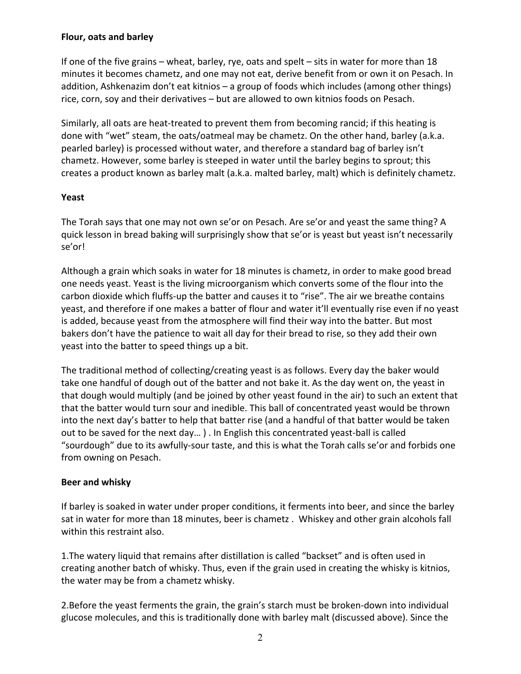### **Flour, oats and barley**

If one of the five grains – wheat, barley, rye, oats and spelt – sits in water for more than 18 minutes it becomes chametz, and one may not eat, derive benefit from or own it on Pesach. In addition, Ashkenazim don't eat kitnios – a group of foods which includes (among other things) rice, corn, soy and their derivatives – but are allowed to own kitnios foods on Pesach.

Similarly, all oats are heat-treated to prevent them from becoming rancid; if this heating is done with "wet" steam, the oats/oatmeal may be chametz. On the other hand, barley (a.k.a. pearled barley) is processed without water, and therefore a standard bag of barley isn't chametz. However, some barley is steeped in water until the barley begins to sprout; this creates a product known as barley malt (a.k.a. malted barley, malt) which is definitely chametz.

### **Yeast**

The Torah says that one may not own se'or on Pesach. Are se'or and yeast the same thing? A quick lesson in bread baking will surprisingly show that se'or is yeast but yeast isn't necessarily se'or!

Although a grain which soaks in water for 18 minutes is chametz, in order to make good bread one needs yeast. Yeast is the living microorganism which converts some of the flour into the carbon dioxide which fluffs-up the batter and causes it to "rise". The air we breathe contains yeast, and therefore if one makes a batter of flour and water it'll eventually rise even if no yeast is added, because yeast from the atmosphere will find their way into the batter. But most bakers don't have the patience to wait all day for their bread to rise, so they add their own yeast into the batter to speed things up a bit.

The traditional method of collecting/creating yeast is as follows. Every day the baker would take one handful of dough out of the batter and not bake it. As the day went on, the yeast in that dough would multiply (and be joined by other yeast found in the air) to such an extent that that the batter would turn sour and inedible. This ball of concentrated yeast would be thrown into the next day's batter to help that batter rise (and a handful of that batter would be taken out to be saved for the next day… ) . In English this concentrated yeast-ball is called "sourdough" due to its awfully-sour taste, and this is what the Torah calls se'or and forbids one from owning on Pesach.

## **Beer and whisky**

If barley is soaked in water under proper conditions, it ferments into beer, and since the barley sat in water for more than 18 minutes, beer is chametz . Whiskey and other grain alcohols fall within this restraint also.

1.The watery liquid that remains after distillation is called "backset" and is often used in creating another batch of whisky. Thus, even if the grain used in creating the whisky is kitnios, the water may be from a chametz whisky.

2.Before the yeast ferments the grain, the grain's starch must be broken-down into individual glucose molecules, and this is traditionally done with barley malt (discussed above). Since the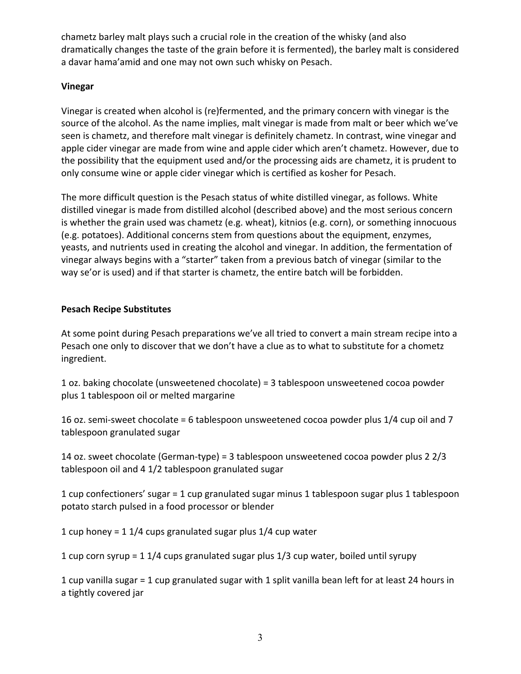chametz barley malt plays such a crucial role in the creation of the whisky (and also dramatically changes the taste of the grain before it is fermented), the barley malt is considered a davar hama'amid and one may not own such whisky on Pesach.

# **Vinegar**

Vinegar is created when alcohol is (re)fermented, and the primary concern with vinegar is the source of the alcohol. As the name implies, malt vinegar is made from malt or beer which we've seen is chametz, and therefore malt vinegar is definitely chametz. In contrast, wine vinegar and apple cider vinegar are made from wine and apple cider which aren't chametz. However, due to the possibility that the equipment used and/or the processing aids are chametz, it is prudent to only consume wine or apple cider vinegar which is certified as kosher for Pesach.

The more difficult question is the Pesach status of white distilled vinegar, as follows. White distilled vinegar is made from distilled alcohol (described above) and the most serious concern is whether the grain used was chametz (e.g. wheat), kitnios (e.g. corn), or something innocuous (e.g. potatoes). Additional concerns stem from questions about the equipment, enzymes, yeasts, and nutrients used in creating the alcohol and vinegar. In addition, the fermentation of vinegar always begins with a "starter" taken from a previous batch of vinegar (similar to the way se'or is used) and if that starter is chametz, the entire batch will be forbidden.

# **Pesach Recipe Substitutes**

At some point during Pesach preparations we've all tried to convert a main stream recipe into a Pesach one only to discover that we don't have a clue as to what to substitute for a chometz ingredient.

1 oz. baking chocolate (unsweetened chocolate) = 3 tablespoon unsweetened cocoa powder plus 1 tablespoon oil or melted margarine

16 oz. semi-sweet chocolate = 6 tablespoon unsweetened cocoa powder plus 1/4 cup oil and 7 tablespoon granulated sugar

14 oz. sweet chocolate (German-type) = 3 tablespoon unsweetened cocoa powder plus 2 2/3 tablespoon oil and 4 1/2 tablespoon granulated sugar

1 cup confectioners' sugar = 1 cup granulated sugar minus 1 tablespoon sugar plus 1 tablespoon potato starch pulsed in a food processor or blender

1 cup honey = 1 1/4 cups granulated sugar plus 1/4 cup water

1 cup corn syrup = 1 1/4 cups granulated sugar plus 1/3 cup water, boiled until syrupy

1 cup vanilla sugar = 1 cup granulated sugar with 1 split vanilla bean left for at least 24 hours in a tightly covered jar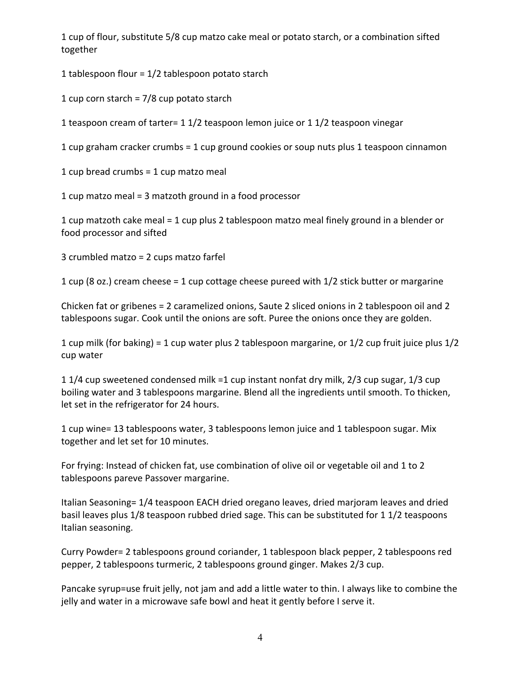1 cup of flour, substitute 5/8 cup matzo cake meal or potato starch, or a combination sifted together

1 tablespoon flour = 1/2 tablespoon potato starch

1 cup corn starch = 7/8 cup potato starch

1 teaspoon cream of tarter= 1 1/2 teaspoon lemon juice or 1 1/2 teaspoon vinegar

1 cup graham cracker crumbs = 1 cup ground cookies or soup nuts plus 1 teaspoon cinnamon

1 cup bread crumbs = 1 cup matzo meal

1 cup matzo meal = 3 matzoth ground in a food processor

1 cup matzoth cake meal = 1 cup plus 2 tablespoon matzo meal finely ground in a blender or food processor and sifted

3 crumbled matzo = 2 cups matzo farfel

1 cup (8 oz.) cream cheese = 1 cup cottage cheese pureed with 1/2 stick butter or margarine

Chicken fat or gribenes = 2 caramelized onions, Saute 2 sliced onions in 2 tablespoon oil and 2 tablespoons sugar. Cook until the onions are soft. Puree the onions once they are golden.

1 cup milk (for baking) = 1 cup water plus 2 tablespoon margarine, or 1/2 cup fruit juice plus 1/2 cup water

1 1/4 cup sweetened condensed milk =1 cup instant nonfat dry milk, 2/3 cup sugar, 1/3 cup boiling water and 3 tablespoons margarine. Blend all the ingredients until smooth. To thicken, let set in the refrigerator for 24 hours.

1 cup wine= 13 tablespoons water, 3 tablespoons lemon juice and 1 tablespoon sugar. Mix together and let set for 10 minutes.

For frying: Instead of chicken fat, use combination of olive oil or vegetable oil and 1 to 2 tablespoons pareve Passover margarine.

Italian Seasoning= 1/4 teaspoon EACH dried oregano leaves, dried marjoram leaves and dried basil leaves plus 1/8 teaspoon rubbed dried sage. This can be substituted for 1 1/2 teaspoons Italian seasoning.

Curry Powder= 2 tablespoons ground coriander, 1 tablespoon black pepper, 2 tablespoons red pepper, 2 tablespoons turmeric, 2 tablespoons ground ginger. Makes 2/3 cup.

Pancake syrup=use fruit jelly, not jam and add a little water to thin. I always like to combine the jelly and water in a microwave safe bowl and heat it gently before I serve it.